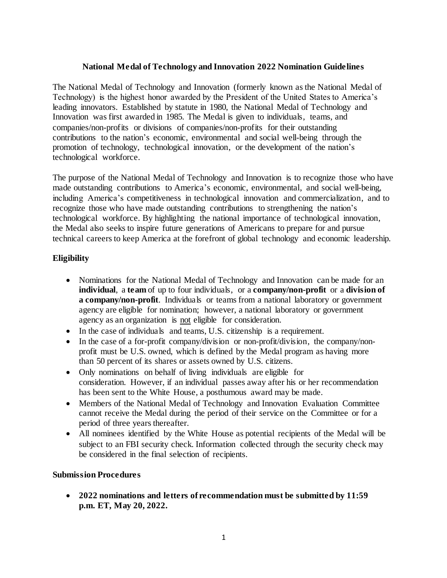### **National Medal of Technology and Innovation 2022 Nomination Guidelines**

The National Medal of Technology and Innovation (formerly known as the National Medal of Technology) is the highest honor awarded by the President of the United States to America's leading innovators. Established by statute in 1980, the National Medal of Technology and Innovation was first awarded in 1985. The Medal is given to individuals, teams, and companies/non-profits or divisions of companies/non-profits for their outstanding contributions to the nation's economic, environmental and social well-being through the promotion of technology, technological innovation, or the development of the nation's technological workforce.

The purpose of the National Medal of Technology and Innovation is to recognize those who have made outstanding contributions to America's economic, environmental, and social well-being, including America's competitiveness in technological innovation and commercialization, and to recognize those who have made outstanding contributions to strengthening the nation's technological workforce. By highlighting the national importance of technological innovation, the Medal also seeks to inspire future generations of Americans to prepare for and pursue technical careers to keep America at the forefront of global technology and economic leadership.

# **Eligibility**

- Nominations for the National Medal of Technology and Innovation can be made for an **individual**, a **team** of up to four individuals, or a **company/non-profit** or a **division of a company/non-profit**. Individuals or teams from a national laboratory or government agency are eligible for nomination; however, a national laboratory or government agency as an organization is not eligible for consideration.
- In the case of individuals and teams, U.S. citizenship is a requirement.
- In the case of a for-profit company/division or non-profit/division, the company/nonprofit must be U.S. owned, which is defined by the Medal program as having more than 50 percent of its shares or assets owned by U.S. citizens.
- Only nominations on behalf of living individuals are eligible for consideration. However, if an individual passes away after his or her recommendation has been sent to the White House, a posthumous award may be made.
- Members of the National Medal of Technology and Innovation Evaluation Committee cannot receive the Medal during the period of their service on the Committee or for a period of three years thereafter.
- All nominees identified by the White House as potential recipients of the Medal will be subject to an FBI security check. Information collected through the security check may be considered in the final selection of recipients.

#### **Submission Procedures**

• **2022 nominations and letters of recommendation must be submitted by 11:59 p.m. ET, May 20, 2022.**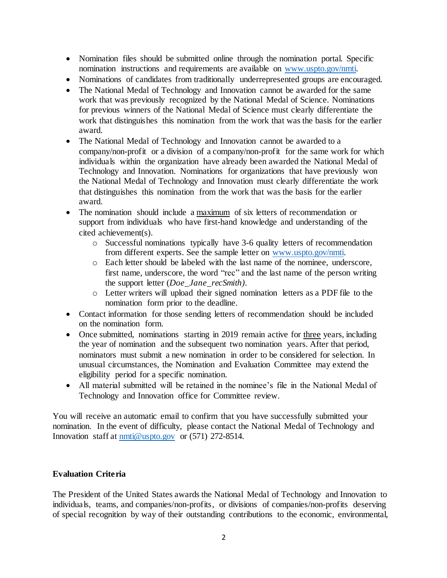- Nomination files should be submitted online through the nomination portal. Specific nomination instructions and requirements are available on [www.uspto.gov/nmti.](http://www.uspto.gov/nmti)
- Nominations of candidates from traditionally underrepresented groups are encouraged.
- The National Medal of Technology and Innovation cannot be awarded for the same work that was previously recognized by the National Medal of Science. Nominations for previous winners of the National Medal of Science must clearly differentiate the work that distinguishes this nomination from the work that was the basis for the earlier award.
- The National Medal of Technology and Innovation cannot be awarded to a company/non-profit or a division of a company/non-profit for the same work for which individuals within the organization have already been awarded the National Medal of Technology and Innovation. Nominations for organizations that have previously won the National Medal of Technology and Innovation must clearly differentiate the work that distinguishes this nomination from the work that was the basis for the earlier award.
- The nomination should include a maximum of six letters of recommendation or support from individuals who have first-hand knowledge and understanding of the cited achievement(s).
	- o Successful nominations typically have 3-6 quality letters of recommendation from different experts. See the sample letter on [www.uspto.gov/nmti.](http://www.uspto.gov/nmti)
	- o Each letter should be labeled with the last name of the nominee, underscore, first name, underscore, the word "rec" and the last name of the person writing the support letter (*Doe\_Jane\_recSmith)*.
	- o Letter writers will upload their signed nomination letters as a PDF file to the nomination form prior to the deadline.
- Contact information for those sending letters of recommendation should be included on the nomination form.
- Once submitted, nominations starting in 2019 remain active for three years, including the year of nomination and the subsequent two nomination years. After that period, nominators must submit a new nomination in order to be considered for selection. In unusual circumstances, the Nomination and Evaluation Committee may extend the eligibility period for a specific nomination.
- All material submitted will be retained in the nominee's file in the National Medal of Technology and Innovation office for Committee review.

You will receive an automatic email to confirm that you have successfully submitted your nomination. In the event of difficulty, please contact the National Medal of Technology and Innovation staff at [nmti@uspto.gov](mailto:nmti@uspto.gov) or (571) 272-8514.

#### **Evaluation Criteria**

The President of the United States awards the National Medal of Technology and Innovation to individuals, teams, and companies/non-profits, or divisions of companies/non-profits deserving of special recognition by way of their outstanding contributions to the economic, environmental,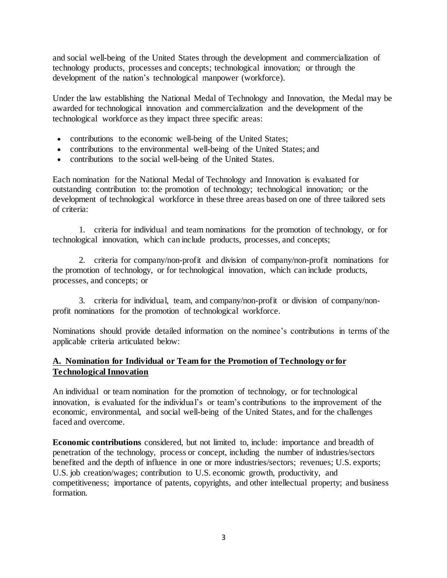and social well-being of the United States through the development and commercialization of technology products, processes and concepts; technological innovation; or through the development of the nation's technological manpower (workforce).

Under the law establishing the National Medal of Technology and Innovation, the Medal may be awarded for technological innovation and commercialization and the development of the technological workforce as they impact three specific areas:

- contributions to the economic well-being of the United States;
- contributions to the environmental well-being of the United States; and
- contributions to the social well-being of the United States.

Each nomination for the National Medal of Technology and Innovation is evaluated for outstanding contribution to: the promotion of technology; technological innovation; or the development of technological workforce in these three areas based on one of three tailored sets of criteria:

1. criteria for individual and team nominations for the promotion of technology, or for technological innovation, which can include products, processes, and concepts;

2. criteria for company/non-profit and division of company/non-profit nominations for the promotion of technology, or for technological innovation, which can include products, processes, and concepts; or

3. criteria for individual, team, and company/non-profit or division of company/nonprofit nominations for the promotion of technological workforce.

Nominations should provide detailed information on the nominee's contributions in terms of the applicable criteria articulated below:

# **A. Nomination for Individual or Team for the Promotion of Technology or for Technological Innovation**

An individual or team nomination for the promotion of technology, or for technological innovation, is evaluated for the individual's or team's contributions to the improvement of the economic, environmental, and social well-being of the United States, and for the challenges faced and overcome.

**Economic contributions** considered, but not limited to, include: importance and breadth of penetration of the technology, process or concept, including the number of industries/sectors benefited and the depth of influence in one or more industries/sectors; revenues; U.S. exports; U.S. job creation/wages; contribution to U.S. economic growth, productivity, and competitiveness; importance of patents, copyrights, and other intellectual property; and business formation.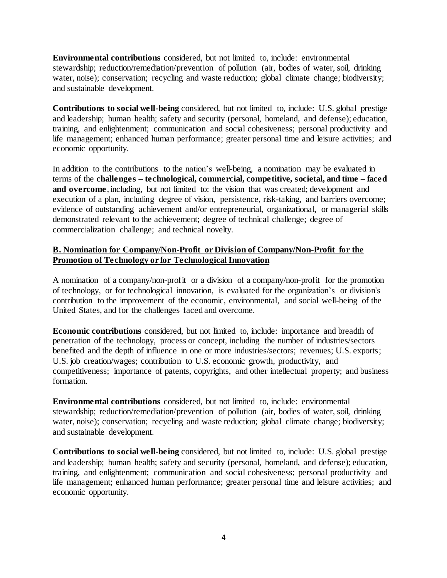**Environmental contributions** considered, but not limited to, include: environmental stewardship; reduction/remediation/prevention of pollution (air, bodies of water, soil, drinking water, noise); conservation; recycling and waste reduction; global climate change; biodiversity; and sustainable development.

**Contributions to social well-being** considered, but not limited to, include: U.S. global prestige and leadership; human health; safety and security (personal, homeland, and defense); education, training, and enlightenment; communication and social cohesiveness; personal productivity and life management; enhanced human performance; greater personal time and leisure activities; and economic opportunity.

In addition to the contributions to the nation's well-being, a nomination may be evaluated in terms of the **challenges – technological, commercial, competitive, societal, and time – faced and overcome**, including, but not limited to: the vision that was created; development and execution of a plan, including degree of vision, persistence, risk-taking, and barriers overcome; evidence of outstanding achievement and/or entrepreneurial, organizational, or managerial skills demonstrated relevant to the achievement; degree of technical challenge; degree of commercialization challenge; and technical novelty.

# **B. Nomination for Company/Non-Profit or Division of Company/Non-Profit for the Promotion of Technology or for Technological Innovation**

A nomination of a company/non-profit or a division of a company/non-profit for the promotion of technology, or for technological innovation, is evaluated for the organization's or division's contribution to the improvement of the economic, environmental, and social well-being of the United States, and for the challenges faced and overcome.

**Economic contributions** considered, but not limited to, include: importance and breadth of penetration of the technology, process or concept, including the number of industries/sectors benefited and the depth of influence in one or more industries/sectors; revenues; U.S. exports; U.S. job creation/wages; contribution to U.S. economic growth, productivity, and competitiveness; importance of patents, copyrights, and other intellectual property; and business formation.

**Environmental contributions** considered, but not limited to, include: environmental stewardship; reduction/remediation/prevention of pollution (air, bodies of water, soil, drinking water, noise); conservation; recycling and waste reduction; global climate change; biodiversity; and sustainable development.

**Contributions to social well-being** considered, but not limited to, include: U.S. global prestige and leadership; human health; safety and security (personal, homeland, and defense); education, training, and enlightenment; communication and social cohesiveness; personal productivity and life management; enhanced human performance; greater personal time and leisure activities; and economic opportunity.